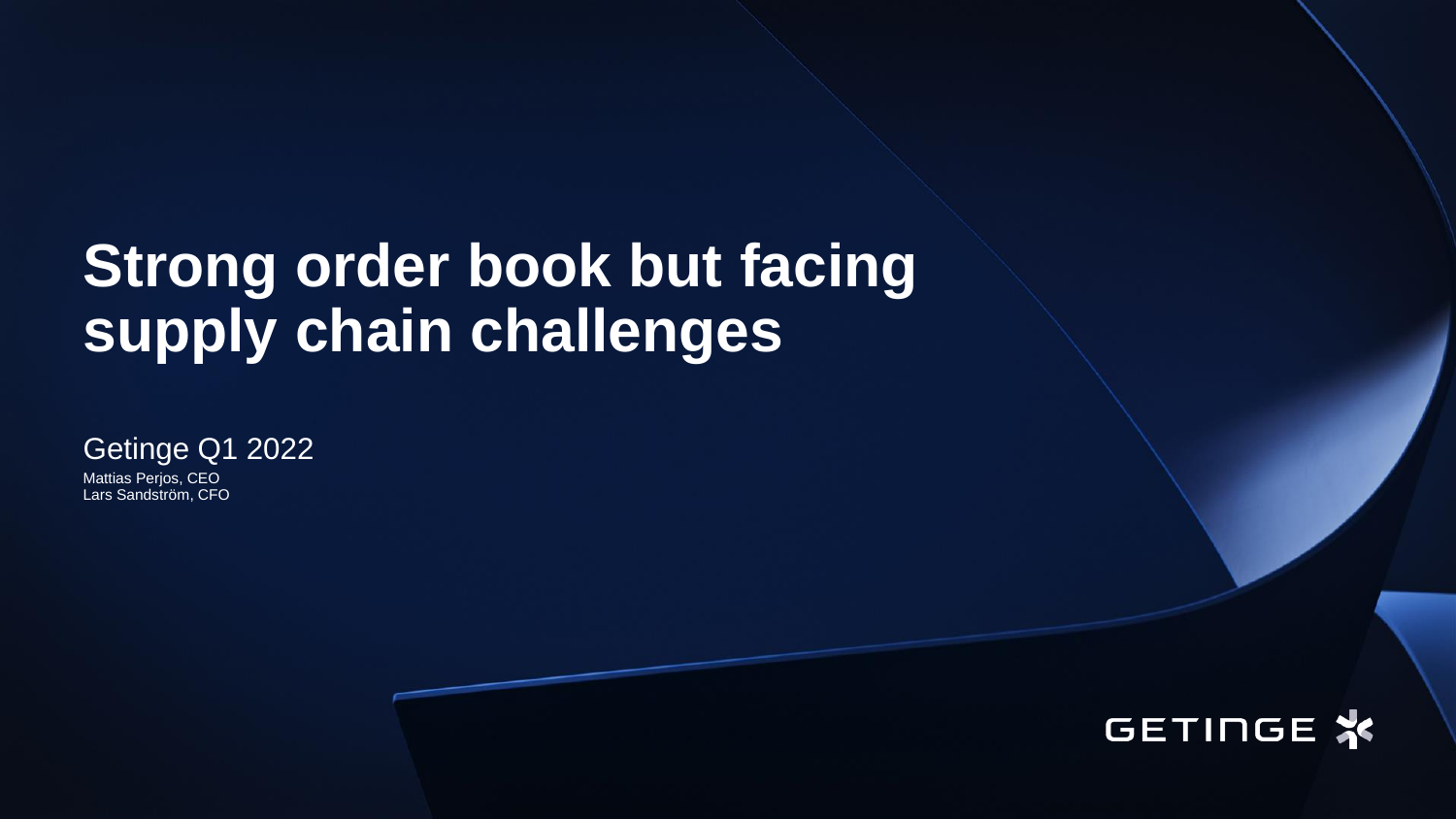## **Strong order book but facing supply chain challenges**

Getinge Q1 2022

Mattias Perjos, CEO Lars Sandström, CFO

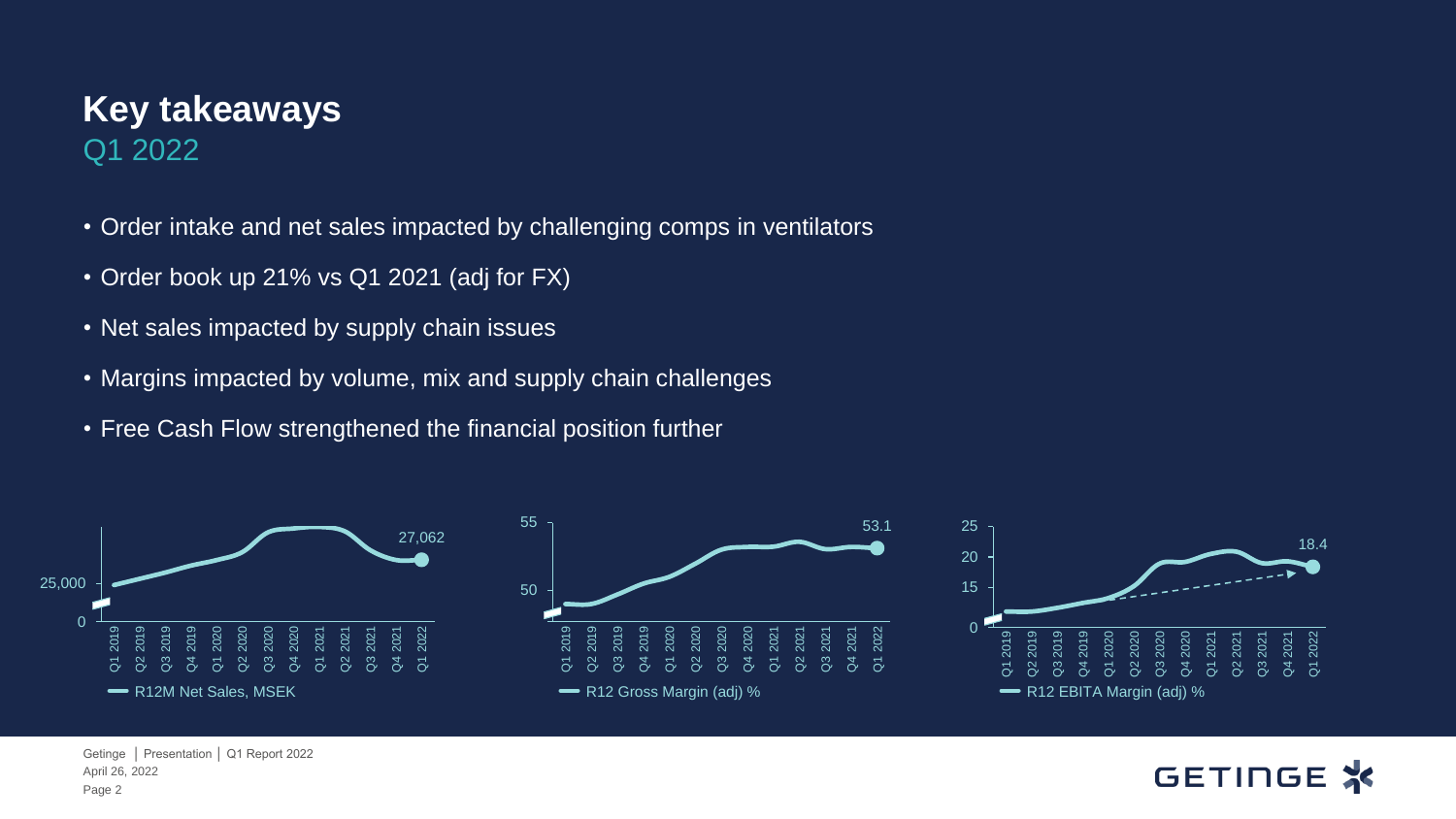#### **Key takeaways**  Q1 2022

- Order intake and net sales impacted by challenging comps in ventilators
- Order book up 21% vs Q1 2021 (adj for FX)
- Net sales impacted by supply chain issues
- Margins impacted by volume, mix and supply chain challenges
- Free Cash Flow strengthened the financial position further



#### **GETINGE X**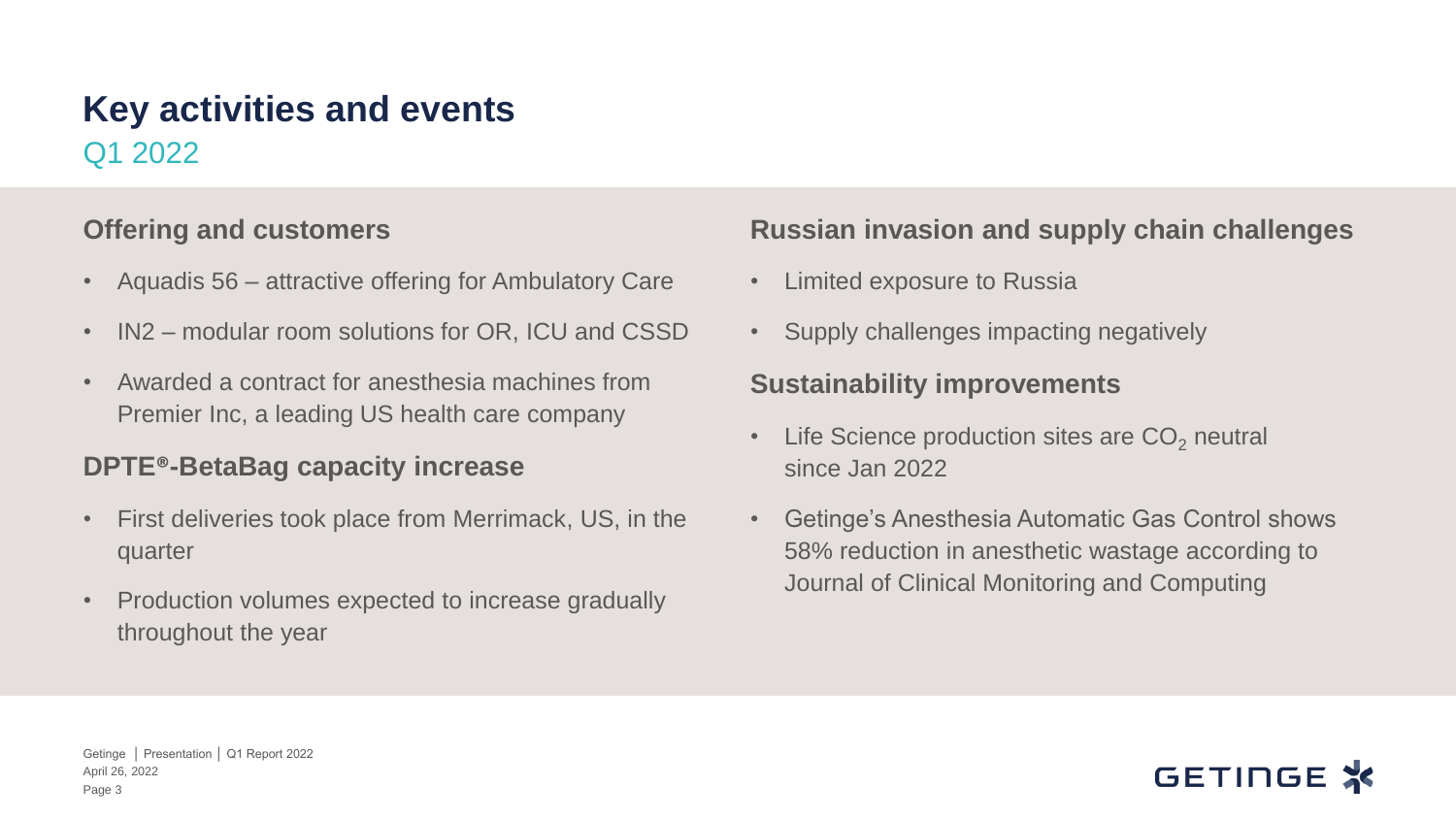#### Q1 2022 **Key activities and events**

#### **Offering and customers**

- Aquadis 56 attractive offering for Ambulatory Care
- IN2 modular room solutions for OR, ICU and CSSD
- Awarded a contract for anesthesia machines from Premier Inc, a leading US health care company

#### **DPTE®-BetaBag capacity increase**

- First deliveries took place from Merrimack, US, in the quarter
- Production volumes expected to increase gradually throughout the year

#### **Russian invasion and supply chain challenges**

- Limited exposure to Russia
- Supply challenges impacting negatively

#### **Sustainability improvements**

- Life Science production sites are  $CO<sub>2</sub>$  neutral since Jan 2022
- Getinge's Anesthesia Automatic Gas Control shows 58% reduction in anesthetic wastage according to Journal of Clinical Monitoring and Computing

#### GETINGE ;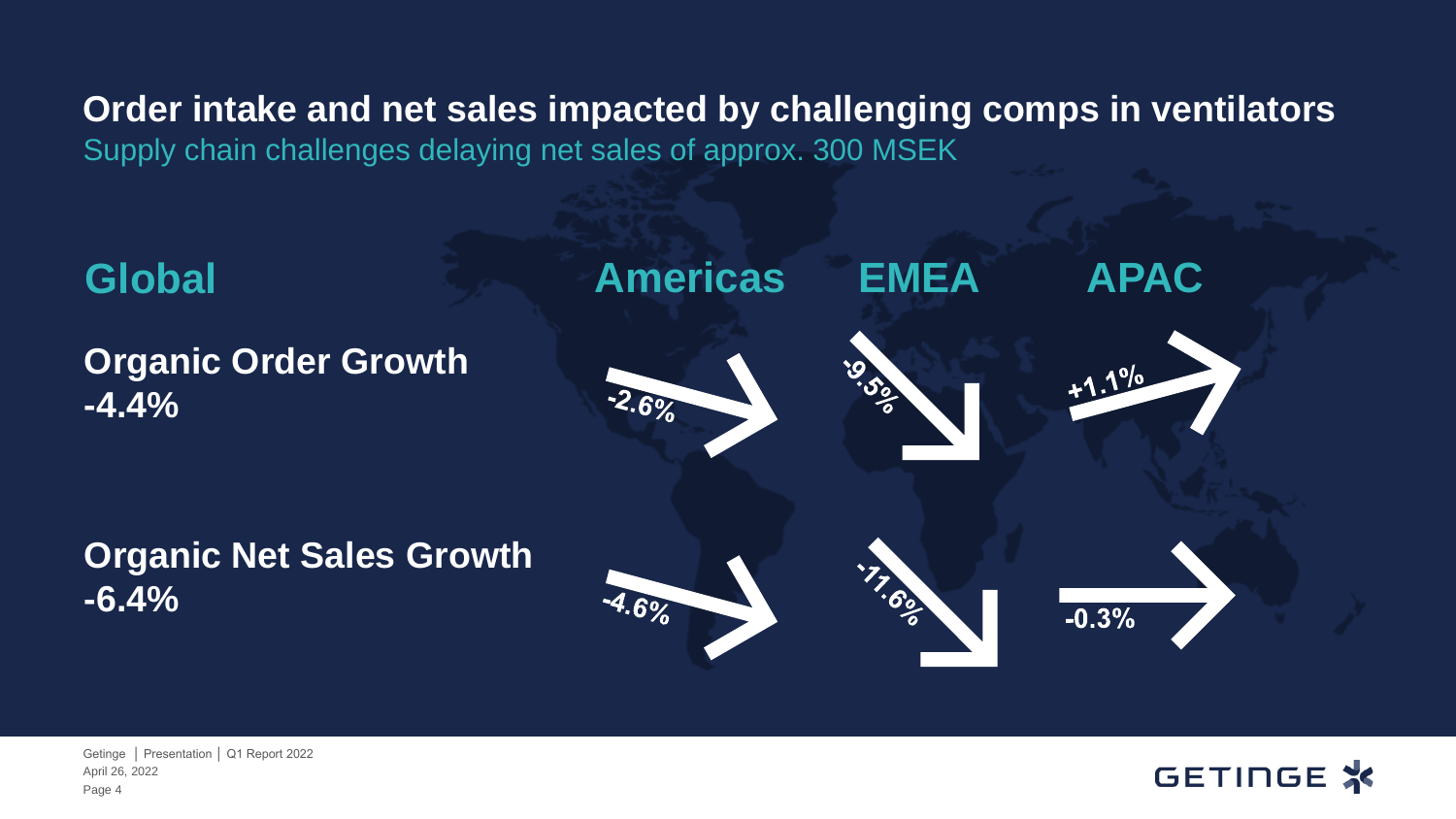**Order intake and net sales impacted by challenging comps in ventilators** Supply chain challenges delaying net sales of approx. 300 MSEK



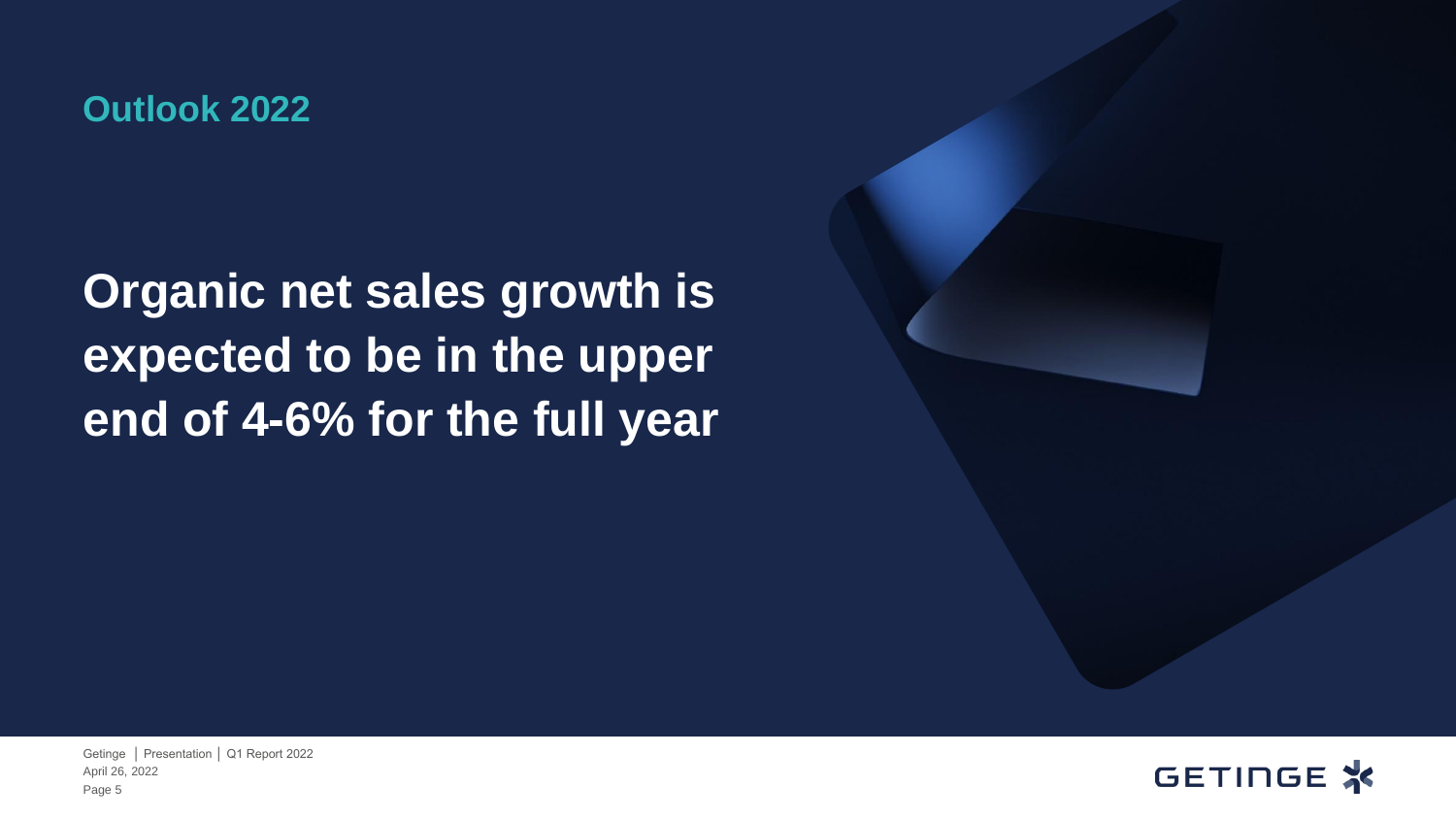#### **Outlook 2022**

### **Organic net sales growth is expected to be in the upper end of 4-6% for the full year**

GETINGE X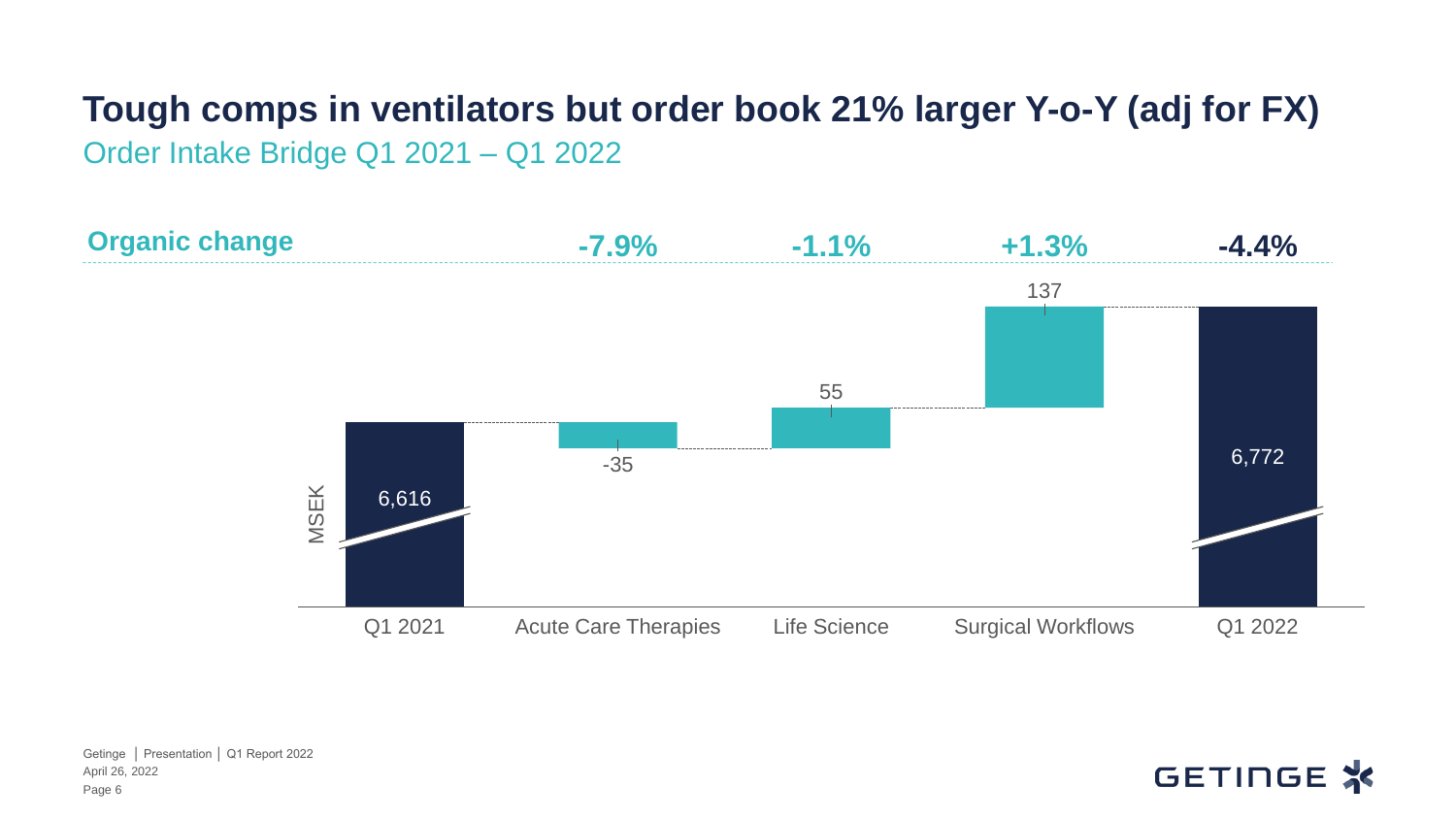## **Tough comps in ventilators but order book 21% larger Y-o-Y (adj for FX)**

Order Intake Bridge Q1 2021 – Q1 2022



April 26, 2022 Getinge │ Presentation │ Q1 Report 2022 Page 6

#### GETINGE X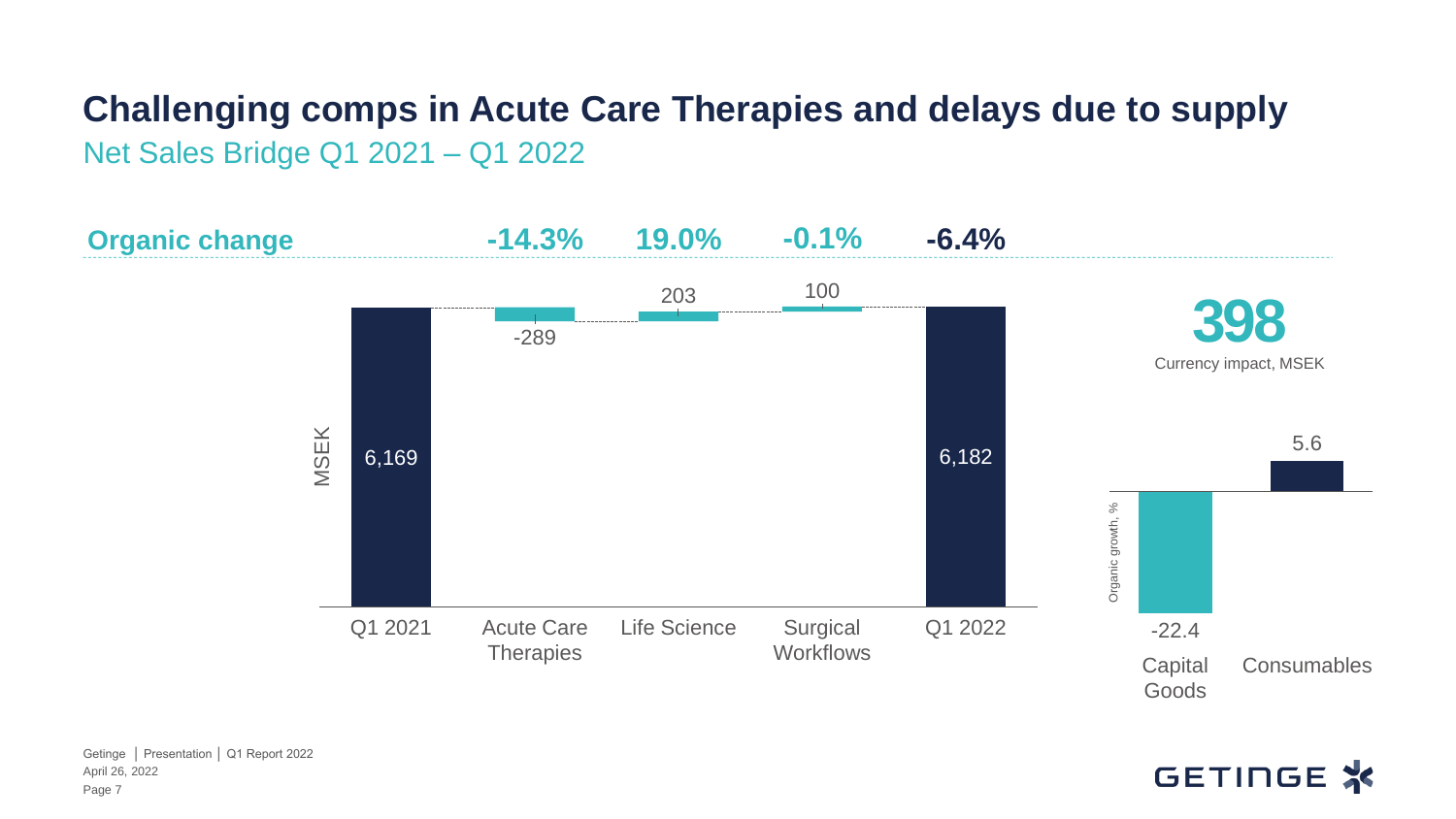## **Challenging comps in Acute Care Therapies and delays due to supply**

Net Sales Bridge Q1 2021 – Q1 2022



#### GETINGE X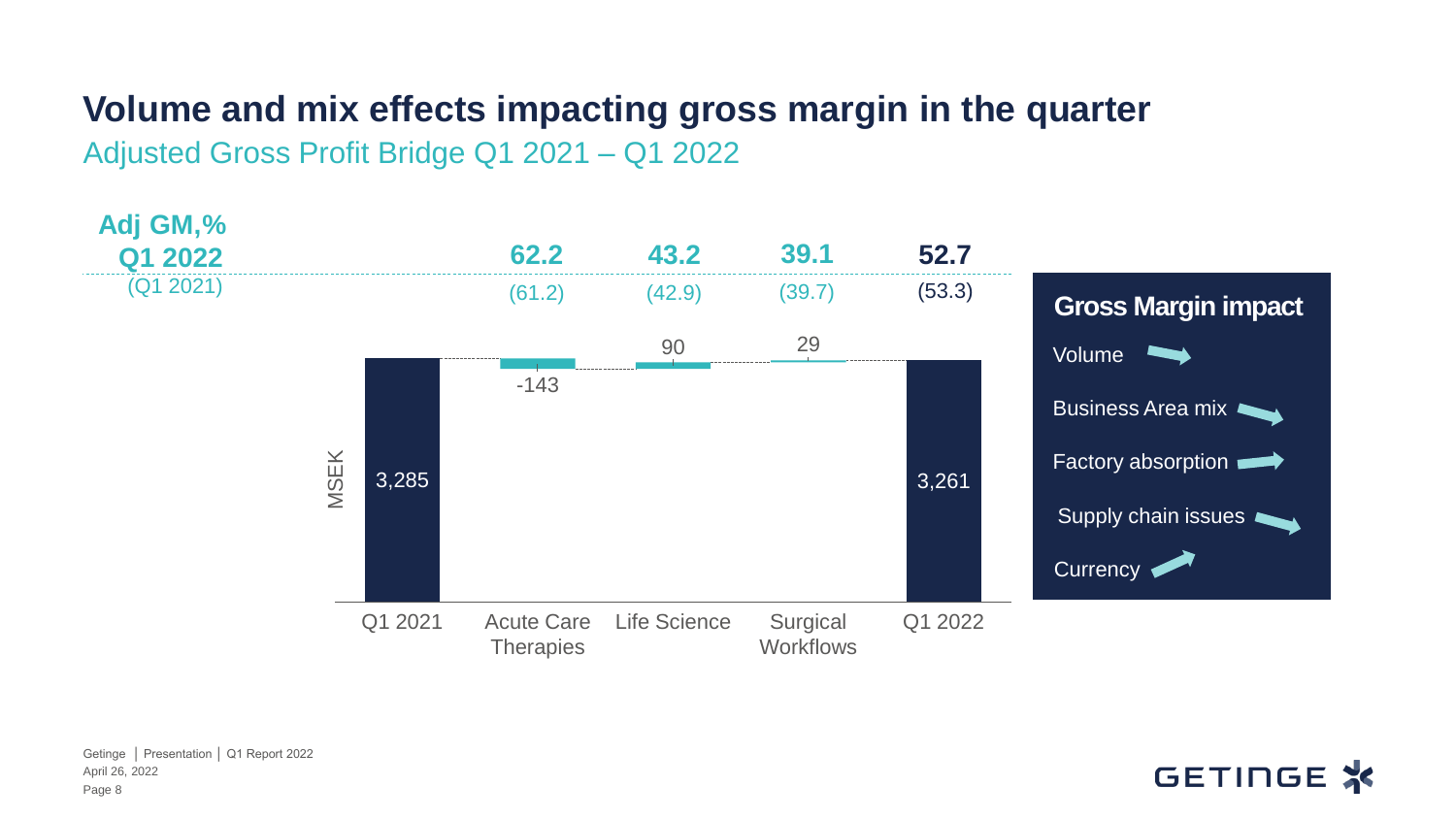#### **Volume and mix effects impacting gross margin in the quarter**

Adjusted Gross Profit Bridge Q1 2021 – Q1 2022



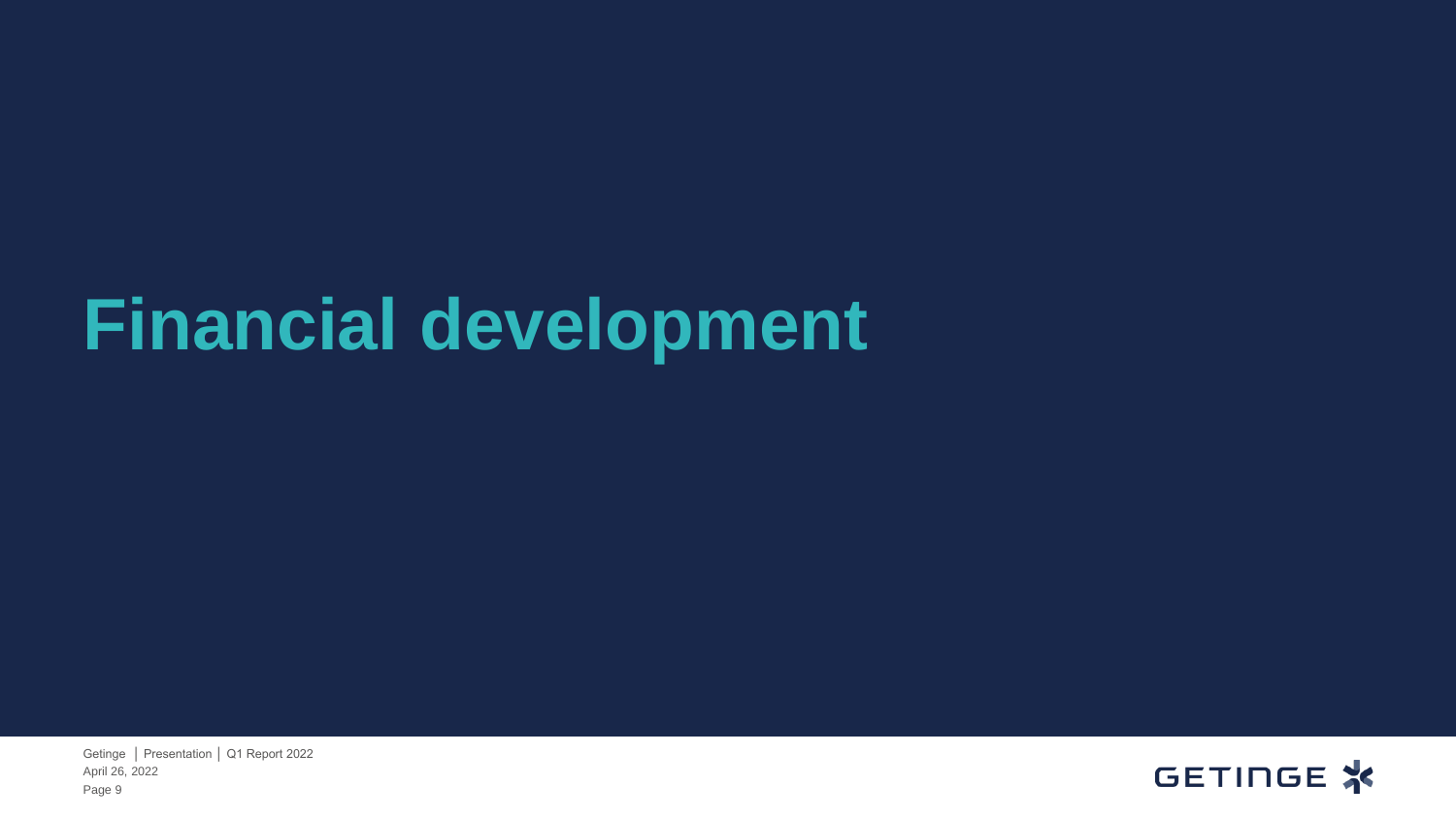# **Financial development**

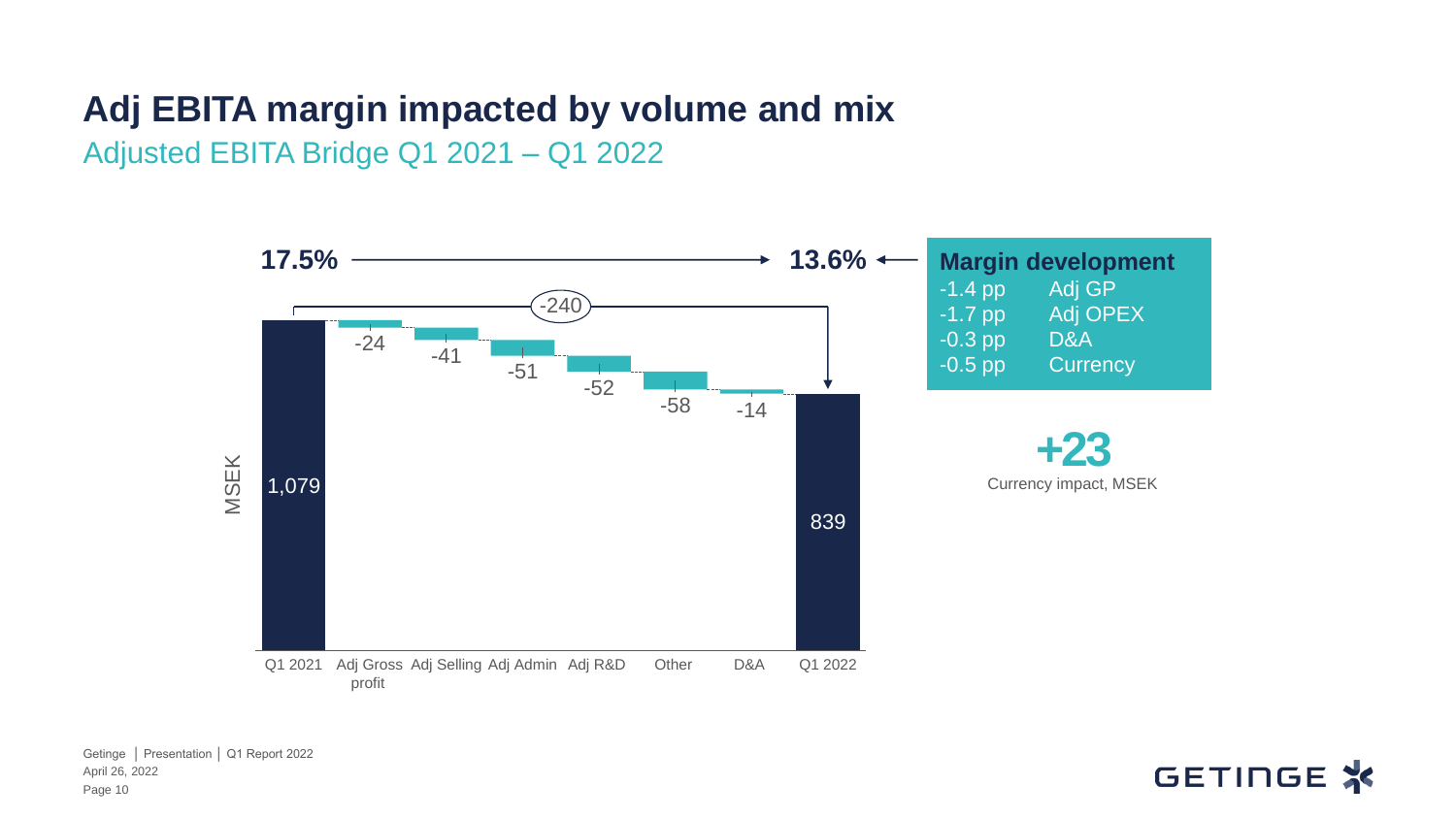#### **Adj EBITA margin impacted by volume and mix**

Adjusted EBITA Bridge Q1 2021 – Q1 2022



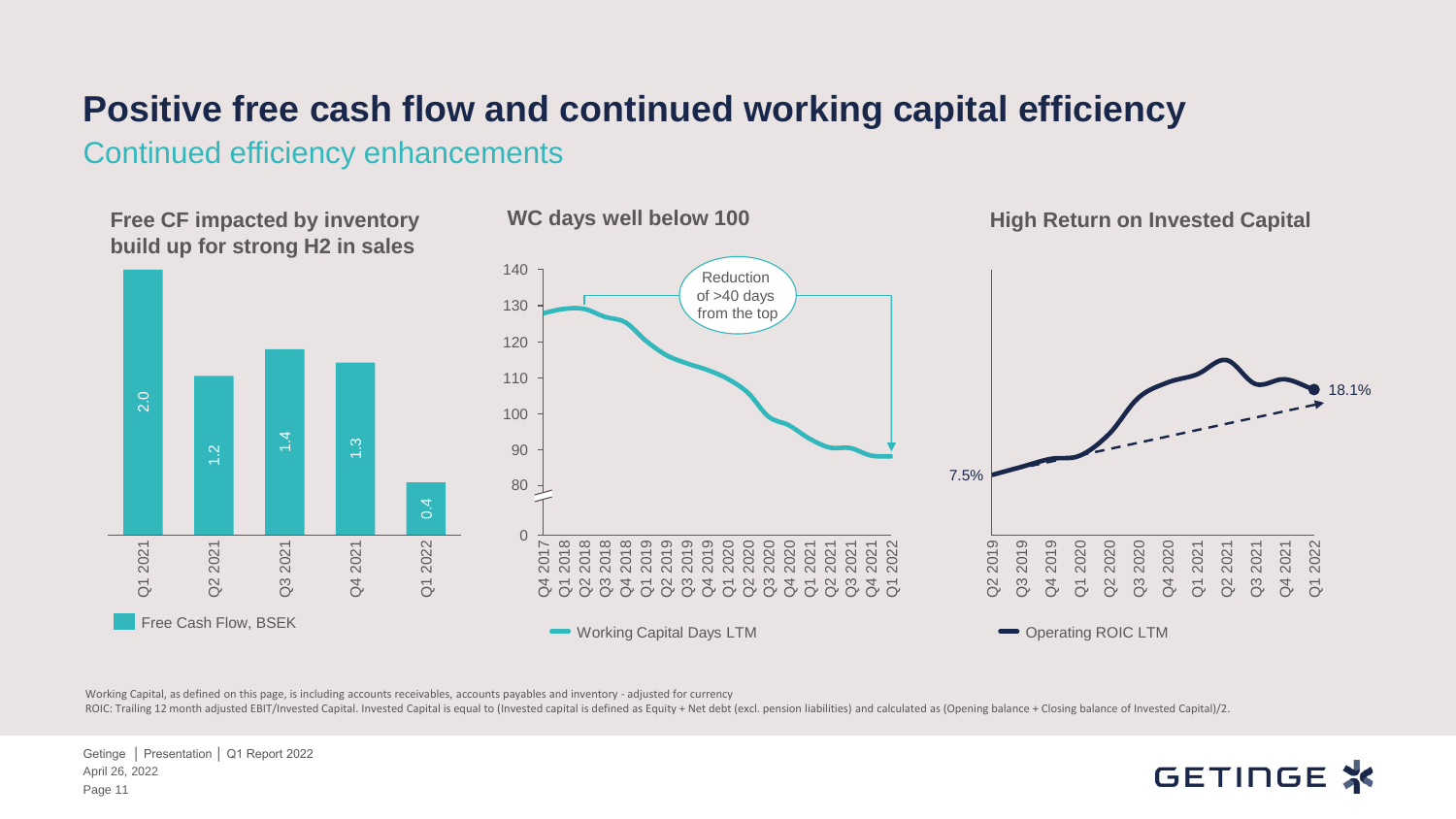#### **Positive free cash flow and continued working capital efficiency**

Continued efficiency enhancements



Working Capital, as defined on this page, is including accounts receivables, accounts payables and inventory - adjusted for currency

ROIC: Trailing 12 month adjusted EBIT/Invested Capital. Invested Capital is equal to (Invested capital is defined as Equity + Net debt (excl. pension liabilities) and calculated as (Opening balance + Closing balance of Inv

April 26, 2022 Getinge │ Presentation │ Q1 Report 2022 Page 11

#### GETINGE X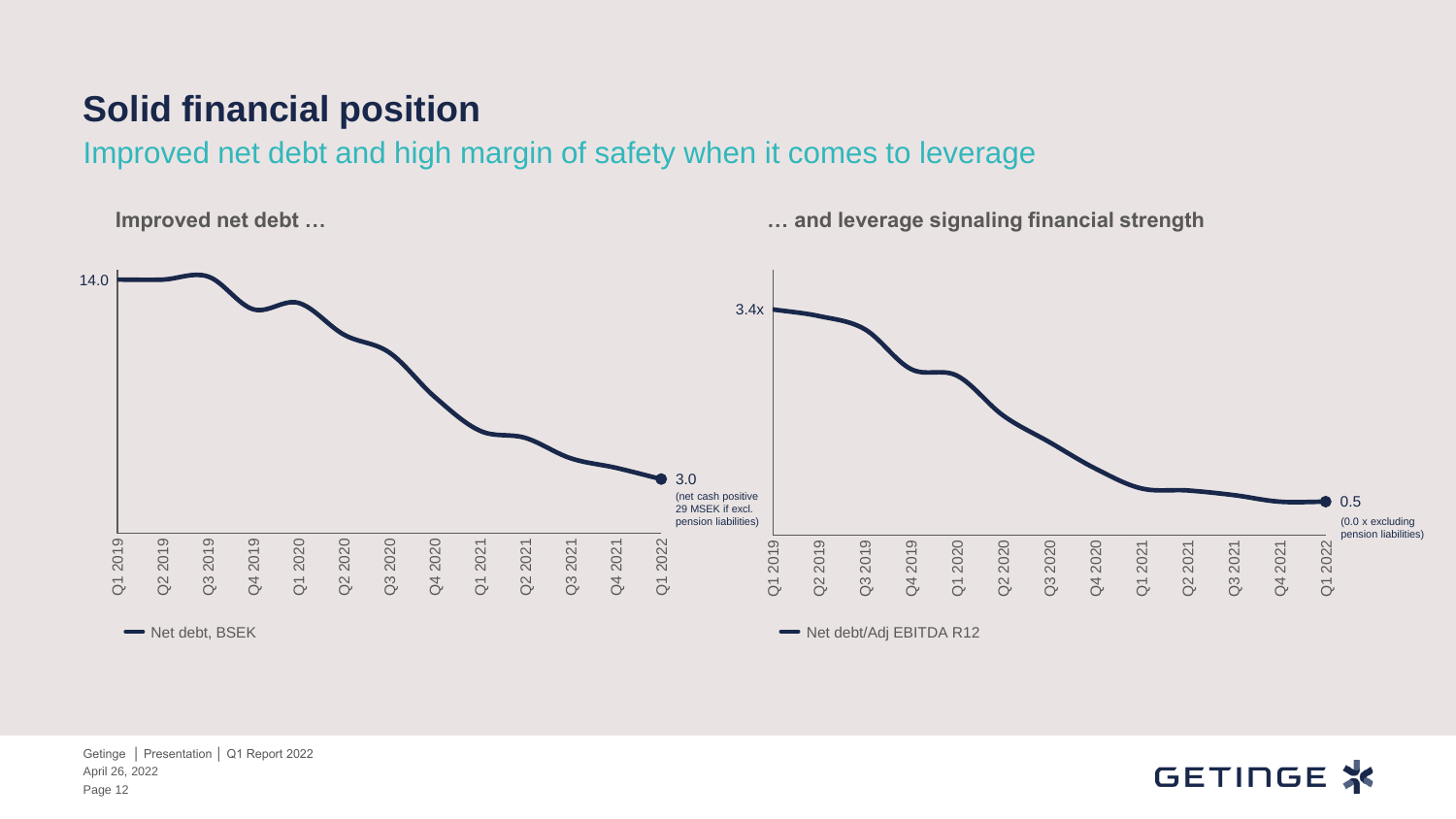#### **Solid financial position**

Improved net debt and high margin of safety when it comes to leverage

**Improved net debt … … and leverage signaling financial strength**



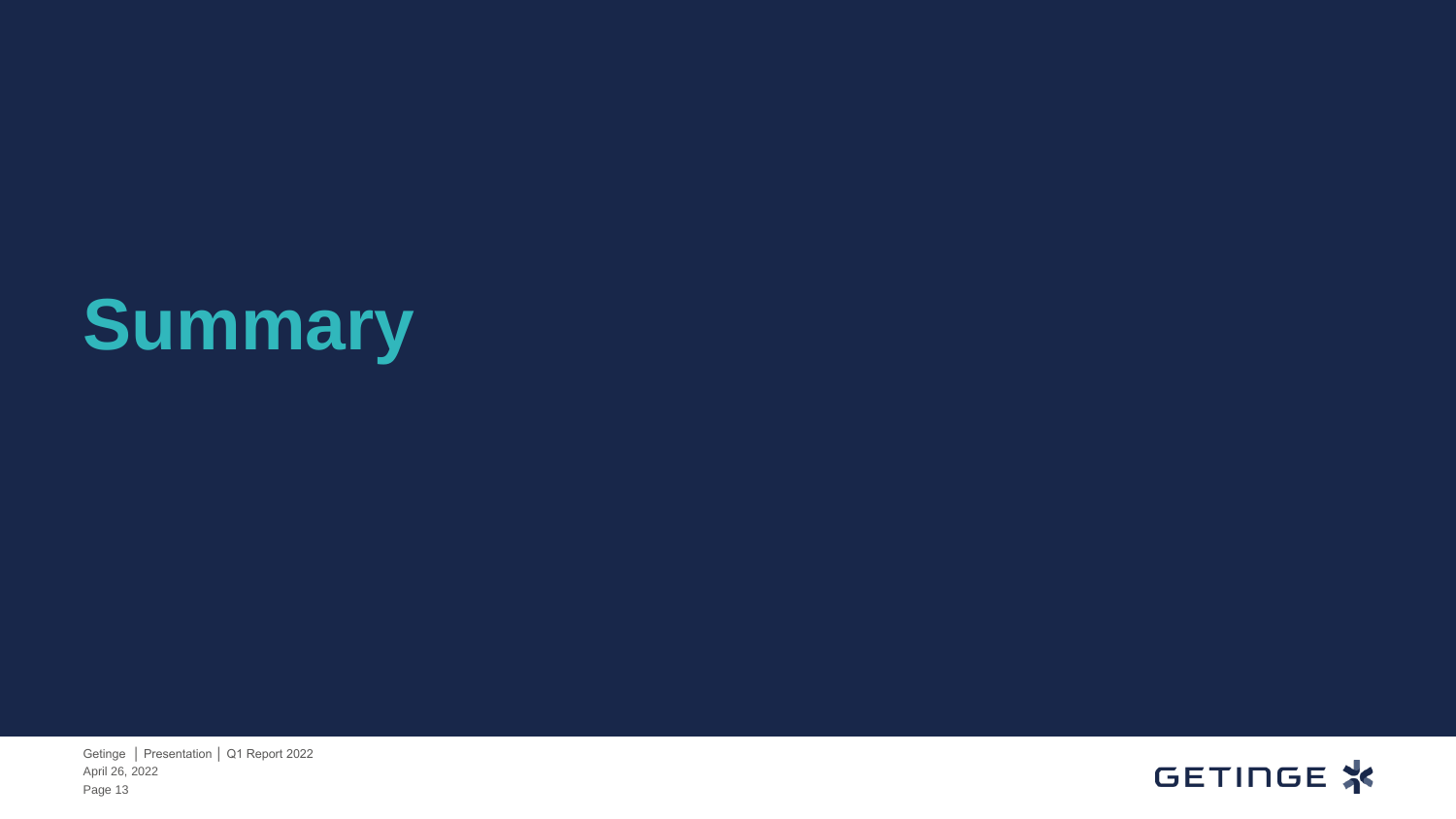# **Summary**

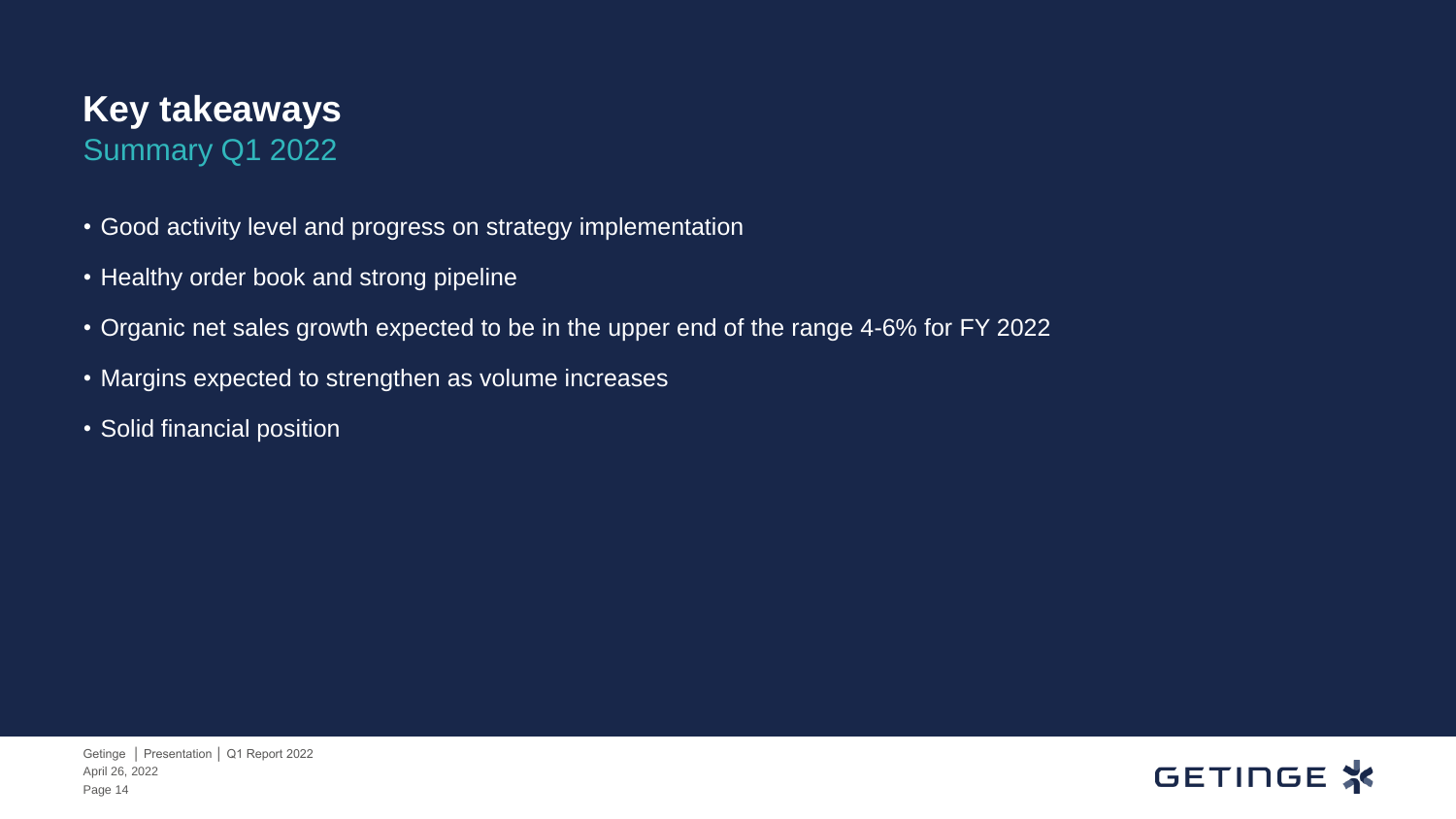#### **Key takeaways** Summary Q1 2022

- Good activity level and progress on strategy implementation
- Healthy order book and strong pipeline
- Organic net sales growth expected to be in the upper end of the range 4-6% for FY 2022
- Margins expected to strengthen as volume increases
- Solid financial position

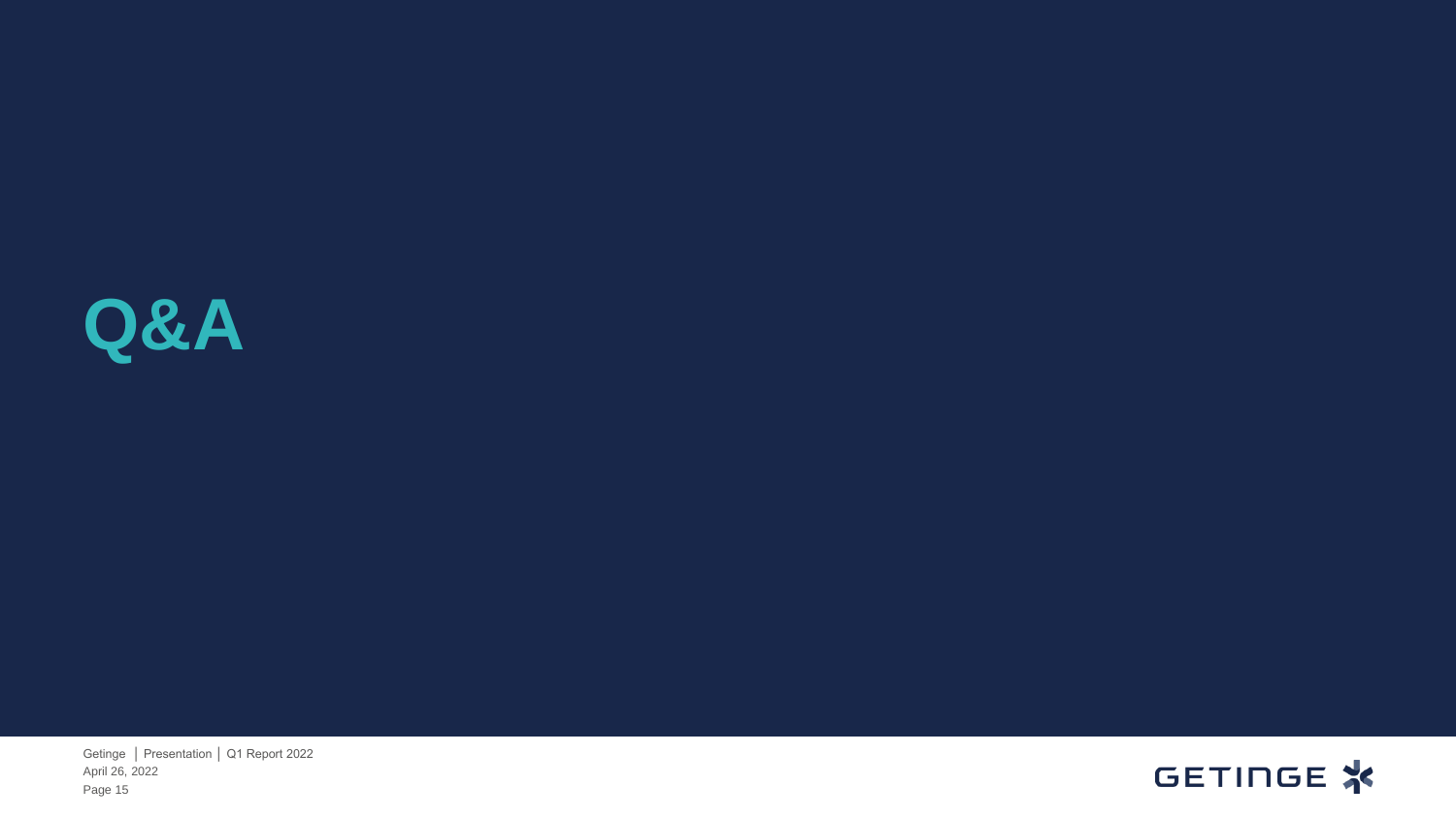

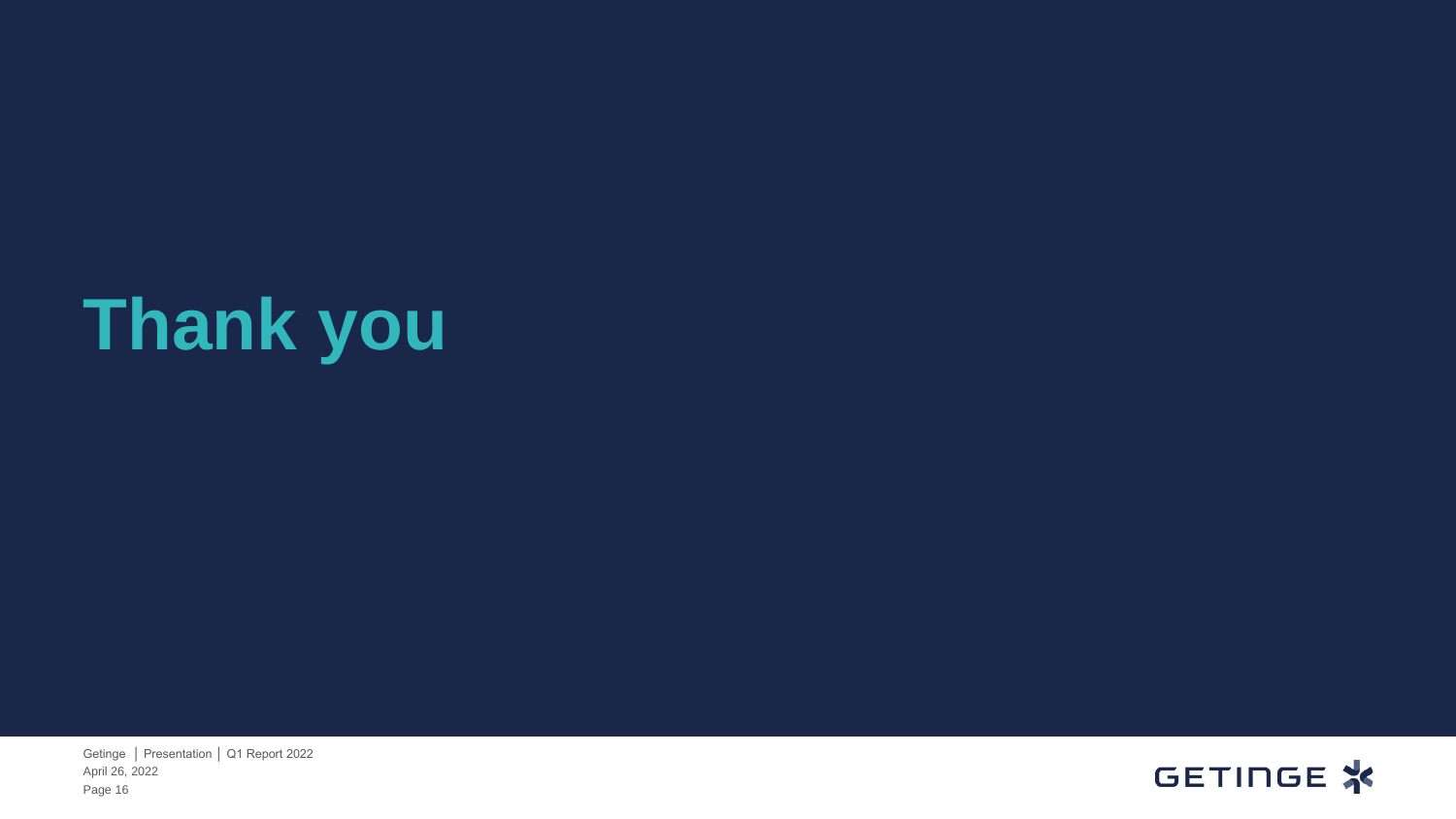# **Thank you**

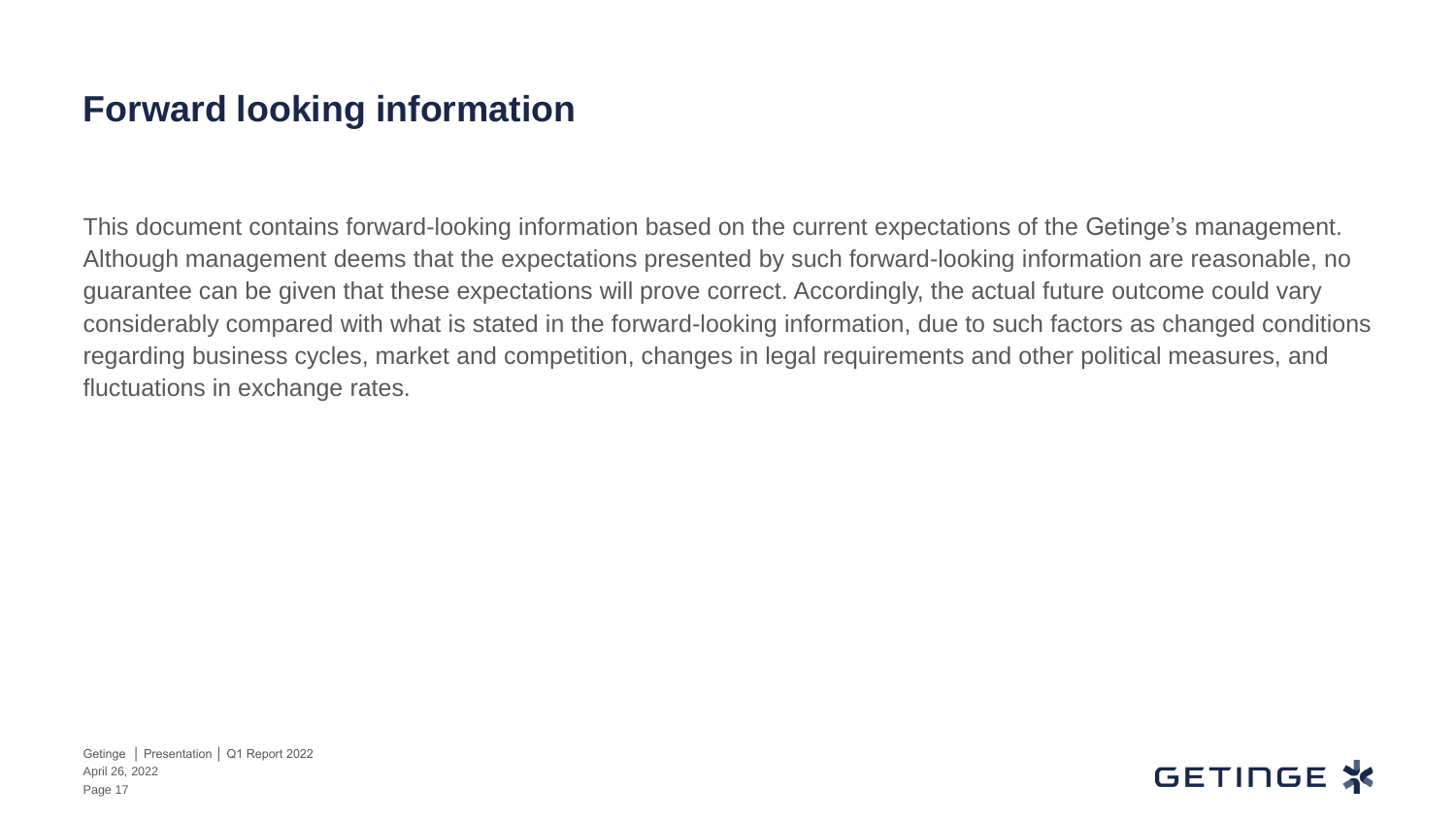#### **Forward looking information**

This document contains forward-looking information based on the current expectations of the Getinge's management. Although management deems that the expectations presented by such forward-looking information are reasonable, no guarantee can be given that these expectations will prove correct. Accordingly, the actual future outcome could vary considerably compared with what is stated in the forward-looking information, due to such factors as changed conditions regarding business cycles, market and competition, changes in legal requirements and other political measures, and fluctuations in exchange rates.